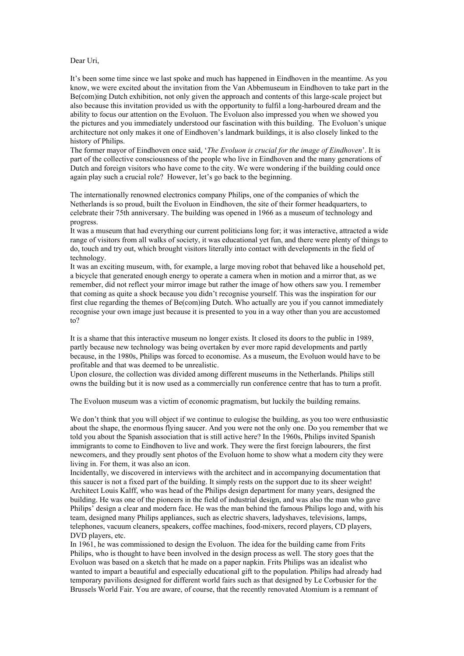## Dear Uri,

It's been some time since we last spoke and much has happened in Eindhoven in the meantime. As you know, we were excited about the invitation from the Van Abbemuseum in Eindhoven to take part in the Be(com)ing Dutch exhibition, not only given the approach and contents of this large-scale project but also because this invitation provided us with the opportunity to fulfil a long-harboured dream and the ability to focus our attention on the Evoluon. The Evoluon also impressed you when we showed you the pictures and you immediately understood our fascination with this building. The Evoluon's unique architecture not only makes it one of Eindhoven's landmark buildings, it is also closely linked to the history of Philips.

The former mayor of Eindhoven once said, '*The Evoluon is crucial for the image of Eindhoven*'. It is part of the collective consciousness of the people who live in Eindhoven and the many generations of Dutch and foreign visitors who have come to the city. We were wondering if the building could once again play such a crucial role? However, let's go back to the beginning.

The internationally renowned electronics company Philips, one of the companies of which the Netherlands is so proud, built the Evoluon in Eindhoven, the site of their former headquarters, to celebrate their 75th anniversary. The building was opened in 1966 as a museum of technology and progress.

It was a museum that had everything our current politicians long for; it was interactive, attracted a wide range of visitors from all walks of society, it was educational yet fun, and there were plenty of things to do, touch and try out, which brought visitors literally into contact with developments in the field of technology.

It was an exciting museum, with, for example, a large moving robot that behaved like a household pet, a bicycle that generated enough energy to operate a camera when in motion and a mirror that, as we remember, did not reflect your mirror image but rather the image of how others saw you. I remember that coming as quite a shock because you didn't recognise yourself. This was the inspiration for our first clue regarding the themes of Be(com)ing Dutch. Who actually are you if you cannot immediately recognise your own image just because it is presented to you in a way other than you are accustomed to?

It is a shame that this interactive museum no longer exists. It closed its doors to the public in 1989, partly because new technology was being overtaken by ever more rapid developments and partly because, in the 1980s, Philips was forced to economise. As a museum, the Evoluon would have to be profitable and that was deemed to be unrealistic.

Upon closure, the collection was divided among different museums in the Netherlands. Philips still owns the building but it is now used as a commercially run conference centre that has to turn a profit.

The Evoluon museum was a victim of economic pragmatism, but luckily the building remains.

We don't think that you will object if we continue to eulogise the building, as you too were enthusiastic about the shape, the enormous flying saucer. And you were not the only one. Do you remember that we told you about the Spanish association that is still active here? In the 1960s, Philips invited Spanish immigrants to come to Eindhoven to live and work. They were the first foreign labourers, the first newcomers, and they proudly sent photos of the Evoluon home to show what a modern city they were living in. For them, it was also an icon.

Incidentally, we discovered in interviews with the architect and in accompanying documentation that this saucer is not a fixed part of the building. It simply rests on the support due to its sheer weight! Architect Louis Kalff, who was head of the Philips design department for many years, designed the building. He was one of the pioneers in the field of industrial design, and was also the man who gave Philips' design a clear and modern face. He was the man behind the famous Philips logo and, with his team, designed many Philips appliances, such as electric shavers, ladyshaves, televisions, lamps, telephones, vacuum cleaners, speakers, coffee machines, food-mixers, record players, CD players, DVD players, etc.

In 1961, he was commissioned to design the Evoluon. The idea for the building came from Frits Philips, who is thought to have been involved in the design process as well. The story goes that the Evoluon was based on a sketch that he made on a paper napkin. Frits Philips was an idealist who wanted to impart a beautiful and especially educational gift to the population. Philips had already had temporary pavilions designed for different world fairs such as that designed by Le Corbusier for the Brussels World Fair. You are aware, of course, that the recently renovated Atomium is a remnant of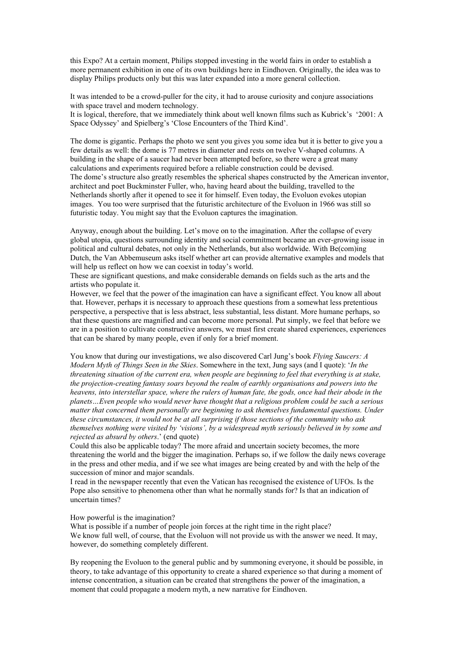this Expo? At a certain moment, Philips stopped investing in the world fairs in order to establish a more permanent exhibition in one of its own buildings here in Eindhoven. Originally, the idea was to display Philips products only but this was later expanded into a more general collection.

It was intended to be a crowd-puller for the city, it had to arouse curiosity and conjure associations with space travel and modern technology.

It is logical, therefore, that we immediately think about well known films such as Kubrick's '2001: A Space Odyssey' and Spielberg's 'Close Encounters of the Third Kind'.

The dome is gigantic. Perhaps the photo we sent you gives you some idea but it is better to give you a few details as well: the dome is 77 metres in diameter and rests on twelve V-shaped columns. A building in the shape of a saucer had never been attempted before, so there were a great many calculations and experiments required before a reliable construction could be devised. The dome's structure also greatly resembles the spherical shapes constructed by the American inventor, architect and poet Buckminster Fuller, who, having heard about the building, travelled to the Netherlands shortly after it opened to see it for himself. Even today, the Evoluon evokes utopian images. You too were surprised that the futuristic architecture of the Evoluon in 1966 was still so futuristic today. You might say that the Evoluon captures the imagination.

Anyway, enough about the building. Let's move on to the imagination. After the collapse of every global utopia, questions surrounding identity and social commitment became an ever-growing issue in political and cultural debates, not only in the Netherlands, but also worldwide. With Be(com)ing Dutch, the Van Abbemuseum asks itself whether art can provide alternative examples and models that will help us reflect on how we can coexist in today's world.

These are significant questions, and make considerable demands on fields such as the arts and the artists who populate it.

However, we feel that the power of the imagination can have a significant effect. You know all about that. However, perhaps it is necessary to approach these questions from a somewhat less pretentious perspective, a perspective that is less abstract, less substantial, less distant. More humane perhaps, so that these questions are magnified and can become more personal. Put simply, we feel that before we are in a position to cultivate constructive answers, we must first create shared experiences, experiences that can be shared by many people, even if only for a brief moment.

You know that during our investigations, we also discovered Carl Jung's book *Flying Saucers: A Modern Myth of Things Seen in the Skies*. Somewhere in the text, Jung says (and I quote): '*In the threatening situation of the current era, when people are beginning to feel that everything is at stake, the projection-creating fantasy soars beyond the realm of earthly organisations and powers into the heavens, into interstellar space, where the rulers of human fate, the gods, once had their abode in the planets…Even people who would never have thought that a religious problem could be such a serious matter that concerned them personally are beginning to ask themselves fundamental questions. Under these circumstances, it would not be at all surprising if those sections of the community who ask themselves nothing were visited by 'visions', by a widespread myth seriously believed in by some and rejected as absurd by others*.' (end quote)

Could this also be applicable today? The more afraid and uncertain society becomes, the more threatening the world and the bigger the imagination. Perhaps so, if we follow the daily news coverage in the press and other media, and if we see what images are being created by and with the help of the succession of minor and major scandals.

I read in the newspaper recently that even the Vatican has recognised the existence of UFOs. Is the Pope also sensitive to phenomena other than what he normally stands for? Is that an indication of uncertain times?

How powerful is the imagination?

What is possible if a number of people join forces at the right time in the right place? We know full well, of course, that the Evoluon will not provide us with the answer we need. It may, however, do something completely different.

By reopening the Evoluon to the general public and by summoning everyone, it should be possible, in theory, to take advantage of this opportunity to create a shared experience so that during a moment of intense concentration, a situation can be created that strengthens the power of the imagination, a moment that could propagate a modern myth, a new narrative for Eindhoven.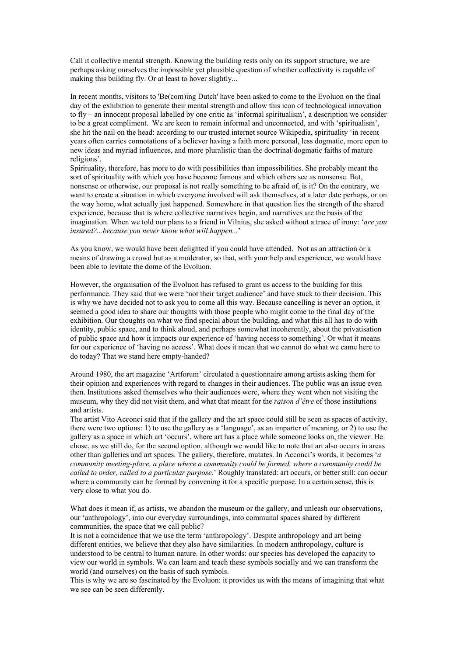Call it collective mental strength. Knowing the building rests only on its support structure, we are perhaps asking ourselves the impossible yet plausible question of whether collectivity is capable of making this building fly. Or at least to hover slightly...

In recent months, visitors to 'Be(com)ing Dutch' have been asked to come to the Evoluon on the final day of the exhibition to generate their mental strength and allow this icon of technological innovation to fly – an innocent proposal labelled by one critic as 'informal spiritualism', a description we consider to be a great compliment. We are keen to remain informal and unconnected, and with 'spiritualism', she hit the nail on the head: according to our trusted internet source Wikipedia, spirituality 'in recent years often carries connotations of a believer having a faith more personal, less dogmatic, more open to new ideas and myriad influences, and more pluralistic than the doctrinal/dogmatic faiths of mature religions'.

Spirituality, therefore, has more to do with possibilities than impossibilities. She probably meant the sort of spirituality with which you have become famous and which others see as nonsense. But, nonsense or otherwise, our proposal is not really something to be afraid of, is it? On the contrary, we want to create a situation in which everyone involved will ask themselves, at a later date perhaps, or on the way home, what actually just happened. Somewhere in that question lies the strength of the shared experience, because that is where collective narratives begin, and narratives are the basis of the imagination. When we told our plans to a friend in Vilnius, she asked without a trace of irony: '*are you insured?...because you never know what will happen...*'

As you know, we would have been delighted if you could have attended. Not as an attraction or a means of drawing a crowd but as a moderator, so that, with your help and experience, we would have been able to levitate the dome of the Evoluon.

However, the organisation of the Evoluon has refused to grant us access to the building for this performance. They said that we were 'not their target audience' and have stuck to their decision. This is why we have decided not to ask you to come all this way. Because cancelling is never an option, it seemed a good idea to share our thoughts with those people who might come to the final day of the exhibition. Our thoughts on what we find special about the building, and what this all has to do with identity, public space, and to think aloud, and perhaps somewhat incoherently, about the privatisation of public space and how it impacts our experience of 'having access to something'. Or what it means for our experience of 'having no access'. What does it mean that we cannot do what we came here to do today? That we stand here empty-handed?

Around 1980, the art magazine 'Artforum' circulated a questionnaire among artists asking them for their opinion and experiences with regard to changes in their audiences. The public was an issue even then. Institutions asked themselves who their audiences were, where they went when not visiting the museum, why they did not visit them, and what that meant for the *raison d'être* of those institutions and artists.

The artist Vito Acconci said that if the gallery and the art space could still be seen as spaces of activity, there were two options: 1) to use the gallery as a 'language', as an imparter of meaning, or 2) to use the gallery as a space in which art 'occurs', where art has a place while someone looks on, the viewer. He chose, as we still do, for the second option, although we would like to note that art also occurs in areas other than galleries and art spaces. The gallery, therefore, mutates. In Acconci's words, it becomes '*a community meeting-place, a place where a community could be formed, where a community could be called to order, called to a particular purpose*.' Roughly translated: art occurs, or better still: can occur where a community can be formed by convening it for a specific purpose. In a certain sense, this is very close to what you do.

What does it mean if, as artists, we abandon the museum or the gallery, and unleash our observations, our 'anthropology', into our everyday surroundings, into communal spaces shared by different communities, the space that we call public?

It is not a coincidence that we use the term 'anthropology'. Despite anthropology and art being different entities, we believe that they also have similarities. In modern anthropology, culture is understood to be central to human nature. In other words: our species has developed the capacity to view our world in symbols. We can learn and teach these symbols socially and we can transform the world (and ourselves) on the basis of such symbols.

This is why we are so fascinated by the Evoluon: it provides us with the means of imagining that what we see can be seen differently.